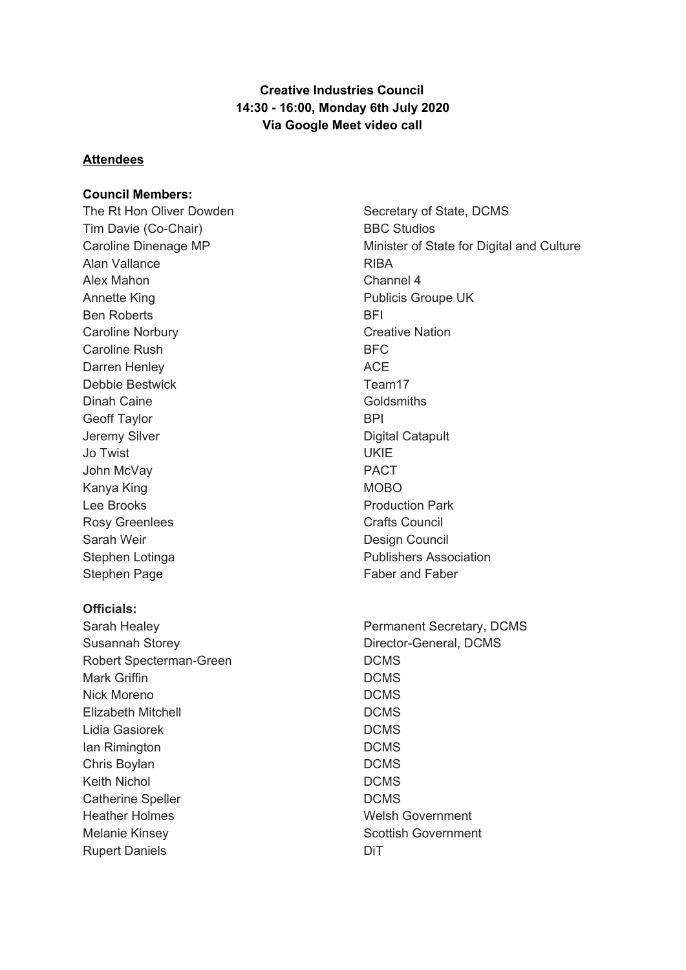# **Creative Industries Council 14:30 - 16:00, Monday 6th July 2020 Via Google Meet video call**

### **Attendees**

#### **Council Members:**

The Rt Hon Oliver Dowden Tim Davie (Co-Chair) Caroline Dinenage MP Alan Vallance Alex Mahon Annette King Ben Roberts Caroline Norbury Caroline Rush Darren Henley Debbie Bestwick Dinah Caine Geoff Taylor Jeremy Silver Jo Twist John McVay Kanya King Lee Brooks Rosy Greenlees Sarah Weir Stephen Lotinga Stephen Page

### **Officials:**

Sarah Healey Susannah Storey Robert Specterman-Green Mark Griffin Nick Moreno Elizabeth Mitchell Lidia Gasiorek Ian Rimington Chris Boylan Keith Nichol Catherine Speller Heather Holmes Melanie Kinsey Rupert Daniels

Secretary of State, DCMS BBC Studios Minister of State for Digital and Culture RIBA Channel 4 Publicis Groupe UK **BFI** Creative Nation BFC ACE Team17 **Goldsmiths BPI** Digital Catapult UKIE PACT MOBO Production Park Crafts Council Design Council Publishers Association Faber and Faber

Permanent Secretary, DCMS Director-General, DCMS DCMS DCMS DCMS DCMS DCMS DCMS DCMS DCMS DCMS Welsh Government Scottish Government DiT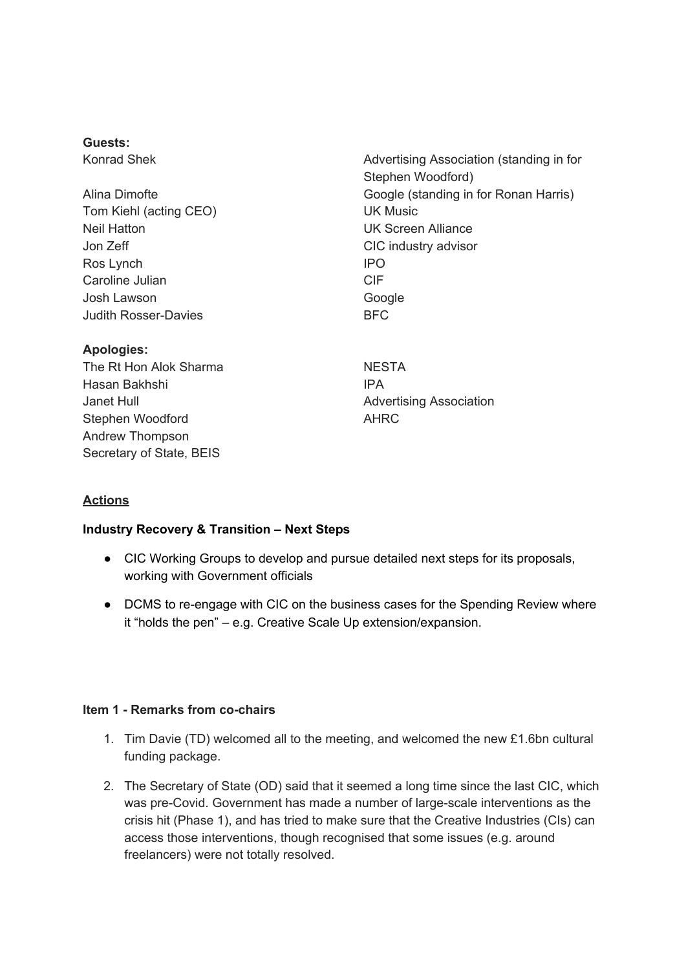#### **Guests:**

Konrad Shek

Alina Dimofte Tom Kiehl (acting CEO) Neil Hatton Jon Zeff Ros Lynch Caroline Julian Josh Lawson Judith Rosser-Davies

### **Apologies:**

The Rt Hon Alok Sharma Hasan Bakhshi Janet Hull Stephen Woodford Andrew Thompson Secretary of State, BEIS

Advertising Association (standing in for Stephen Woodford) Google (standing in for Ronan Harris) UK Music UK Screen Alliance CIC industry advisor IPO CIF Google BFC

**NESTA** IPA Advertising Association AHRC

# **Actions**

### **Industry Recovery & Transition – Next Steps**

- CIC Working Groups to develop and pursue detailed next steps for its proposals, working with Government officials
- DCMS to re-engage with CIC on the business cases for the Spending Review where it "holds the pen" – e.g. Creative Scale Up extension/expansion.

### **Item 1 - Remarks from co-chairs**

- 1. Tim Davie (TD) welcomed all to the meeting, and welcomed the new £1.6bn cultural funding package.
- 2. The Secretary of State (OD) said that it seemed a long time since the last CIC, which was pre-Covid. Government has made a number of large-scale interventions as the crisis hit (Phase 1), and has tried to make sure that the Creative Industries (CIs) can access those interventions, though recognised that some issues (e.g. around freelancers) were not totally resolved.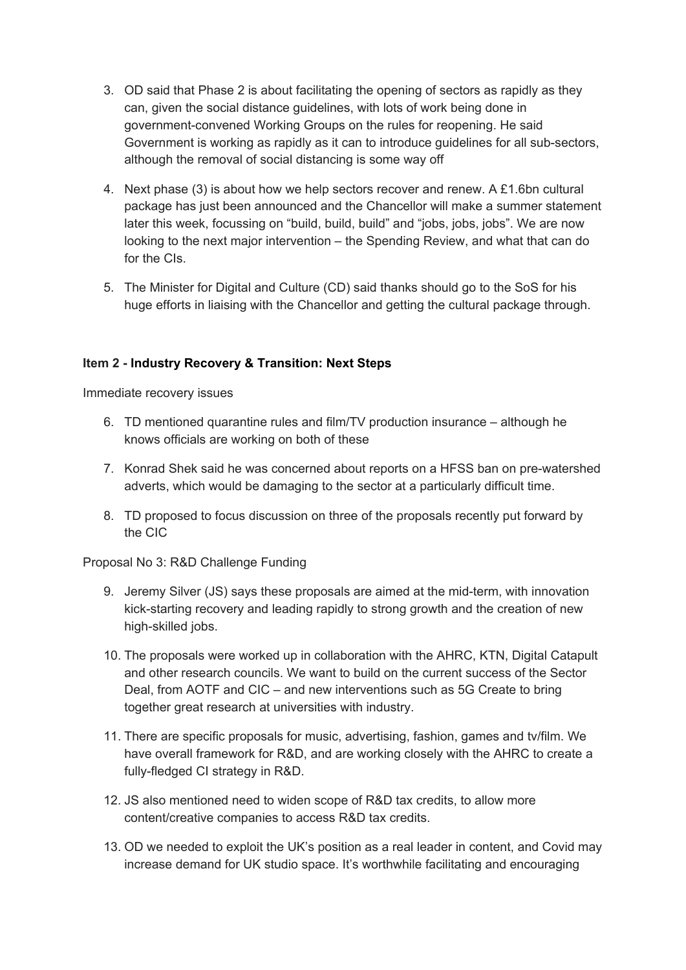- 3. OD said that Phase 2 is about facilitating the opening of sectors as rapidly as they can, given the social distance guidelines, with lots of work being done in government-convened Working Groups on the rules for reopening. He said Government is working as rapidly as it can to introduce guidelines for all sub-sectors, although the removal of social distancing is some way off
- 4. Next phase (3) is about how we help sectors recover and renew. A £1.6bn cultural package has just been announced and the Chancellor will make a summer statement later this week, focussing on "build, build, build" and "jobs, jobs, jobs". We are now looking to the next major intervention – the Spending Review, and what that can do for the CIs.
- 5. The Minister for Digital and Culture (CD) said thanks should go to the SoS for his huge efforts in liaising with the Chancellor and getting the cultural package through.

# **Item 2 - Industry Recovery & Transition: Next Steps**

Immediate recovery issues

- 6. TD mentioned quarantine rules and film/TV production insurance although he knows officials are working on both of these
- 7. Konrad Shek said he was concerned about reports on a HFSS ban on pre-watershed adverts, which would be damaging to the sector at a particularly difficult time.
- 8. TD proposed to focus discussion on three of the proposals recently put forward by the CIC

# Proposal No 3: R&D Challenge Funding

- 9. Jeremy Silver (JS) says these proposals are aimed at the mid-term, with innovation kick-starting recovery and leading rapidly to strong growth and the creation of new high-skilled jobs.
- 10. The proposals were worked up in collaboration with the AHRC, KTN, Digital Catapult and other research councils. We want to build on the current success of the Sector Deal, from AOTF and CIC – and new interventions such as 5G Create to bring together great research at universities with industry.
- 11. There are specific proposals for music, advertising, fashion, games and tv/film. We have overall framework for R&D, and are working closely with the AHRC to create a fully-fledged CI strategy in R&D.
- 12. JS also mentioned need to widen scope of R&D tax credits, to allow more content/creative companies to access R&D tax credits.
- 13. OD we needed to exploit the UK's position as a real leader in content, and Covid may increase demand for UK studio space. It's worthwhile facilitating and encouraging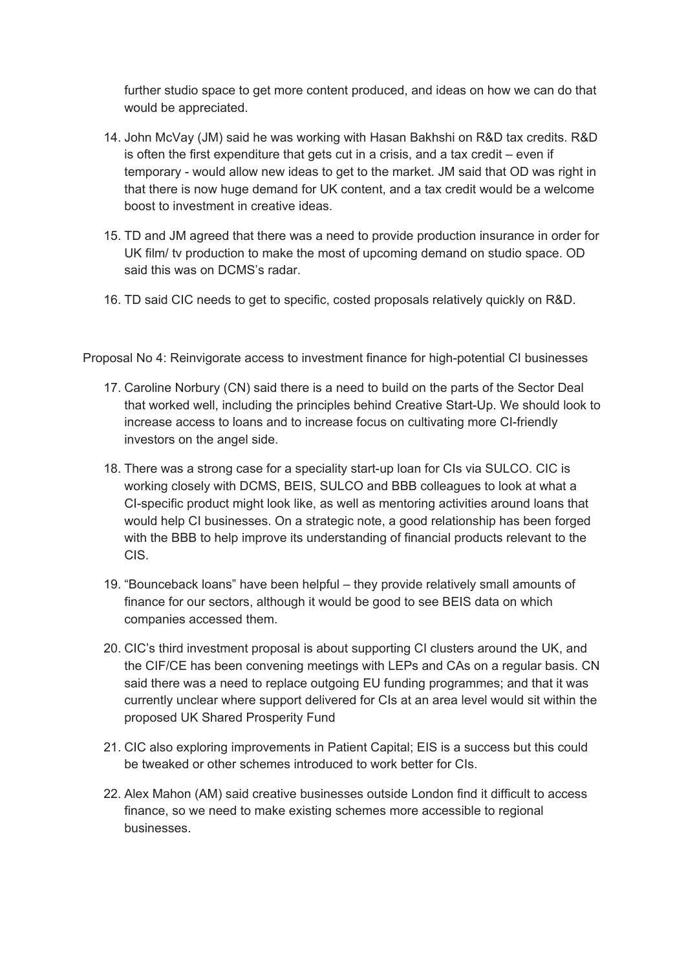further studio space to get more content produced, and ideas on how we can do that would be appreciated.

- 14. John McVay (JM) said he was working with Hasan Bakhshi on R&D tax credits. R&D is often the first expenditure that gets cut in a crisis, and a tax credit – even if temporary - would allow new ideas to get to the market. JM said that OD was right in that there is now huge demand for UK content, and a tax credit would be a welcome boost to investment in creative ideas.
- 15. TD and JM agreed that there was a need to provide production insurance in order for UK film/ tv production to make the most of upcoming demand on studio space. OD said this was on DCMS's radar.
- 16. TD said CIC needs to get to specific, costed proposals relatively quickly on R&D.

Proposal No 4: Reinvigorate access to investment finance for high-potential CI businesses

- 17. Caroline Norbury (CN) said there is a need to build on the parts of the Sector Deal that worked well, including the principles behind Creative Start-Up. We should look to increase access to loans and to increase focus on cultivating more CI-friendly investors on the angel side.
- 18. There was a strong case for a speciality start-up loan for CIs via SULCO. CIC is working closely with DCMS, BEIS, SULCO and BBB colleagues to look at what a CI-specific product might look like, as well as mentoring activities around loans that would help CI businesses. On a strategic note, a good relationship has been forged with the BBB to help improve its understanding of financial products relevant to the CIS.
- 19. "Bounceback loans" have been helpful they provide relatively small amounts of finance for our sectors, although it would be good to see BEIS data on which companies accessed them.
- 20. CIC's third investment proposal is about supporting CI clusters around the UK, and the CIF/CE has been convening meetings with LEPs and CAs on a regular basis. CN said there was a need to replace outgoing EU funding programmes; and that it was currently unclear where support delivered for CIs at an area level would sit within the proposed UK Shared Prosperity Fund
- 21. CIC also exploring improvements in Patient Capital; EIS is a success but this could be tweaked or other schemes introduced to work better for CIs.
- 22. Alex Mahon (AM) said creative businesses outside London find it difficult to access finance, so we need to make existing schemes more accessible to regional businesses.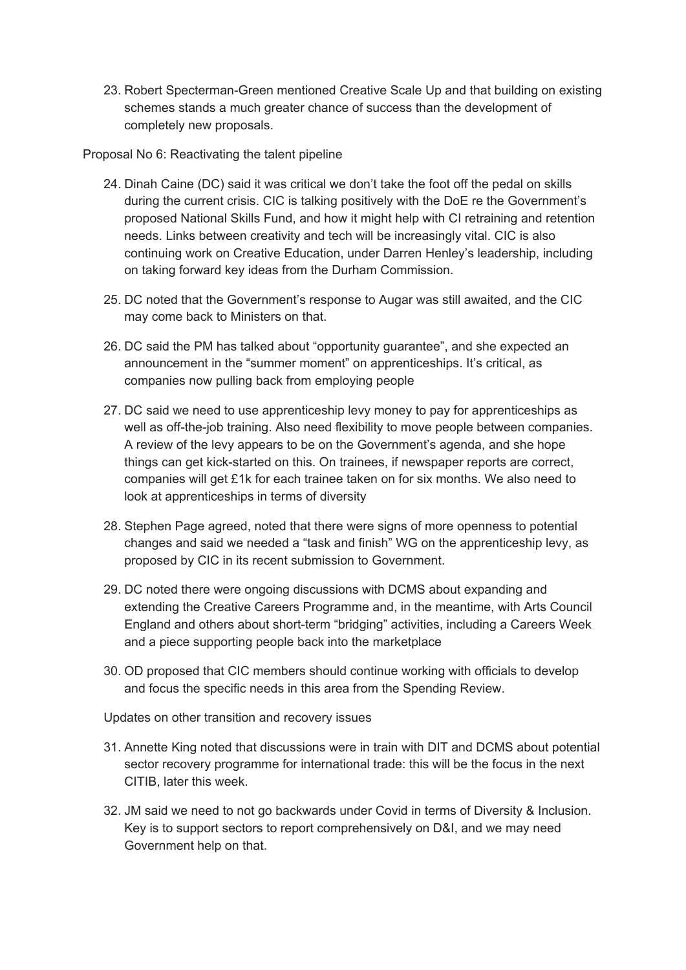23. Robert Specterman-Green mentioned Creative Scale Up and that building on existing schemes stands a much greater chance of success than the development of completely new proposals.

Proposal No 6: Reactivating the talent pipeline

- 24. Dinah Caine (DC) said it was critical we don't take the foot off the pedal on skills during the current crisis. CIC is talking positively with the DoE re the Government's proposed National Skills Fund, and how it might help with CI retraining and retention needs. Links between creativity and tech will be increasingly vital. CIC is also continuing work on Creative Education, under Darren Henley's leadership, including on taking forward key ideas from the Durham Commission.
- 25. DC noted that the Government's response to Augar was still awaited, and the CIC may come back to Ministers on that.
- 26. DC said the PM has talked about "opportunity guarantee", and she expected an announcement in the "summer moment" on apprenticeships. It's critical, as companies now pulling back from employing people
- 27. DC said we need to use apprenticeship levy money to pay for apprenticeships as well as off-the-job training. Also need flexibility to move people between companies. A review of the levy appears to be on the Government's agenda, and she hope things can get kick-started on this. On trainees, if newspaper reports are correct, companies will get £1k for each trainee taken on for six months. We also need to look at apprenticeships in terms of diversity
- 28. Stephen Page agreed, noted that there were signs of more openness to potential changes and said we needed a "task and finish" WG on the apprenticeship levy, as proposed by CIC in its recent submission to Government.
- 29. DC noted there were ongoing discussions with DCMS about expanding and extending the Creative Careers Programme and, in the meantime, with Arts Council England and others about short-term "bridging" activities, including a Careers Week and a piece supporting people back into the marketplace
- 30. OD proposed that CIC members should continue working with officials to develop and focus the specific needs in this area from the Spending Review.

Updates on other transition and recovery issues

- 31. Annette King noted that discussions were in train with DIT and DCMS about potential sector recovery programme for international trade: this will be the focus in the next CITIB, later this week.
- 32. JM said we need to not go backwards under Covid in terms of Diversity & Inclusion. Key is to support sectors to report comprehensively on D&I, and we may need Government help on that.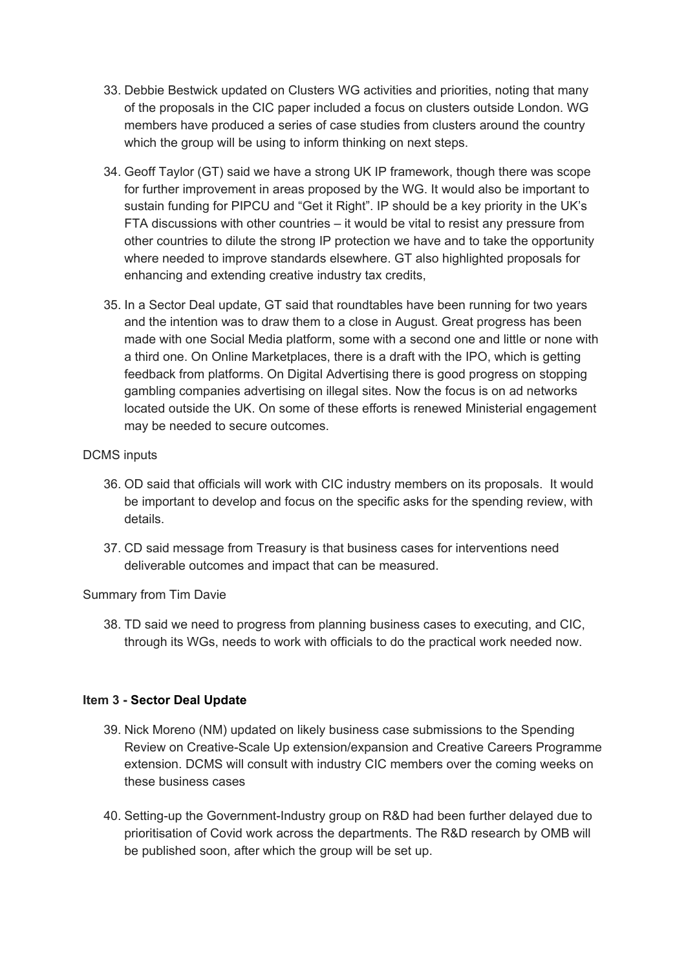- 33. Debbie Bestwick updated on Clusters WG activities and priorities, noting that many of the proposals in the CIC paper included a focus on clusters outside London. WG members have produced a series of case studies from clusters around the country which the group will be using to inform thinking on next steps.
- 34. Geoff Taylor (GT) said we have a strong UK IP framework, though there was scope for further improvement in areas proposed by the WG. It would also be important to sustain funding for PIPCU and "Get it Right". IP should be a key priority in the UK's FTA discussions with other countries – it would be vital to resist any pressure from other countries to dilute the strong IP protection we have and to take the opportunity where needed to improve standards elsewhere. GT also highlighted proposals for enhancing and extending creative industry tax credits,
- 35. In a Sector Deal update, GT said that roundtables have been running for two years and the intention was to draw them to a close in August. Great progress has been made with one Social Media platform, some with a second one and little or none with a third one. On Online Marketplaces, there is a draft with the IPO, which is getting feedback from platforms. On Digital Advertising there is good progress on stopping gambling companies advertising on illegal sites. Now the focus is on ad networks located outside the UK. On some of these efforts is renewed Ministerial engagement may be needed to secure outcomes.

# DCMS inputs

- 36. OD said that officials will work with CIC industry members on its proposals. It would be important to develop and focus on the specific asks for the spending review, with details.
- 37. CD said message from Treasury is that business cases for interventions need deliverable outcomes and impact that can be measured.

# Summary from Tim Davie

38. TD said we need to progress from planning business cases to executing, and CIC, through its WGs, needs to work with officials to do the practical work needed now.

# **Item 3 - Sector Deal Update**

- 39. Nick Moreno (NM) updated on likely business case submissions to the Spending Review on Creative-Scale Up extension/expansion and Creative Careers Programme extension. DCMS will consult with industry CIC members over the coming weeks on these business cases
- 40. Setting-up the Government-Industry group on R&D had been further delayed due to prioritisation of Covid work across the departments. The R&D research by OMB will be published soon, after which the group will be set up.